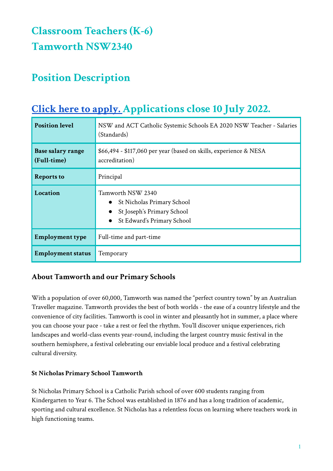# **Classroom Teachers (K-6) Tamworth NSW2340**

## **Position Description**

## **Position level NSW** and ACT Catholic Systemic Schools EA 2020 NSW Teacher - Salaries (Standards) **Base salary range (Full-time)** \$66,494 - \$117,060 per year (based on skills, experience & NESA accreditation) **Reports to** Principal **Location** Tamworth NSW 2340 ● St Nicholas Primary School ● St Joseph's Primary School ● St Edward's Primary School **Employment type** Full-time and part-time **Employment status** Temporary

## **Click here to [apply.](https://www.surveymonkey.com/r/7YQ2BKZ) Applications close 10 July 2022.**

## **About Tamworth and our Primary Schools**

With a population of over 60,000, Tamworth was named the "perfect country town" by an Australian Traveller magazine. Tamworth provides the best of both worlds - the ease of a country lifestyle and the convenience of city facilities. Tamworth is cool in winter and pleasantly hot in summer, a place where you can choose your pace - take a rest or feel the rhythm. You'll discover unique experiences, rich landscapes and world-class events year-round, including the largest country music festival in the southern hemisphere, a festival celebrating our enviable local produce and a festival celebrating cultural diversity.

#### **St Nicholas Primary School Tamworth**

St Nicholas Primary School is a Catholic Parish school of over 600 students ranging from Kindergarten to Year 6. The School was established in 1876 and has a long tradition of academic, sporting and cultural excellence. St Nicholas has a relentless focus on learning where teachers work in high functioning teams.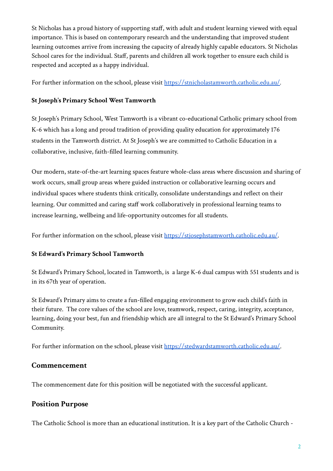St Nicholas has a proud history of supporting staff, with adult and student learning viewed with equal importance. This is based on contemporary research and the understanding that improved student learning outcomes arrive from increasing the capacity of already highly capable educators. St Nicholas School cares for the individual. Staff, parents and children all work together to ensure each child is respected and accepted as a happy individual.

For further information on the school, please visit <https://stnicholastamworth.catholic.edu.au/>.

#### **St Joseph's Primary School West Tamworth**

St Joseph's Primary School, West Tamworth is a vibrant co-educational Catholic primary school from K-6 which has a long and proud tradition of providing quality education for approximately 176 students in the Tamworth district. At St Joseph's we are committed to Catholic Education in a collaborative, inclusive, faith-filled learning community.

Our modern, state-of-the-art learning spaces feature whole-class areas where discussion and sharing of work occurs, small group areas where guided instruction or collaborative learning occurs and individual spaces where students think critically, consolidate understandings and reflect on their learning. Our committed and caring staff work collaboratively in professional learning teams to increase learning, wellbeing and life-opportunity outcomes for all students.

For further information on the school, please visit <https://stjosephstamworth.catholic.edu.au/>.

#### **St Edward's Primary School Tamworth**

St Edward's Primary School, located in Tamworth, is a large K-6 dual campus with 551 students and is in its 67th year of operation.

St Edward's Primary aims to create a fun-filled engaging environment to grow each child's faith in their future. The core values of the school are love, teamwork, respect, caring, integrity, acceptance, learning, doing your best, fun and friendship which are all integral to the St Edward's Primary School Community.

For further information on the school, please visit <https://stedwardstamworth.catholic.edu.au/>.

#### **Commencement**

The commencement date for this position will be negotiated with the successful applicant.

#### **Position Purpose**

The Catholic School is more than an educational institution. It is a key part of the Catholic Church -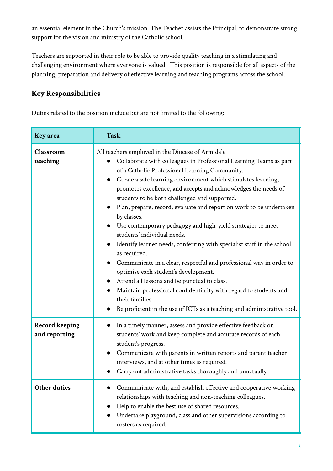an essential element in the Church's mission. The Teacher assists the Principal, to demonstrate strong support for the vision and ministry of the Catholic school.

Teachers are supported in their role to be able to provide quality teaching in a stimulating and challenging environment where everyone is valued. This position is responsible for all aspects of the planning, preparation and delivery of effective learning and teaching programs across the school.

### **Key Responsibilities**

Duties related to the position include but are not limited to the following:

| Key area                               | <b>Task</b>                                                                                                                                                                                                                                                                                                                                                                                                                                                                                                                                                                                                                                                                                                                                                                                                                                                                                                                                                                               |
|----------------------------------------|-------------------------------------------------------------------------------------------------------------------------------------------------------------------------------------------------------------------------------------------------------------------------------------------------------------------------------------------------------------------------------------------------------------------------------------------------------------------------------------------------------------------------------------------------------------------------------------------------------------------------------------------------------------------------------------------------------------------------------------------------------------------------------------------------------------------------------------------------------------------------------------------------------------------------------------------------------------------------------------------|
| Classroom<br>teaching                  | All teachers employed in the Diocese of Armidale<br>Collaborate with colleagues in Professional Learning Teams as part<br>of a Catholic Professional Learning Community.<br>Create a safe learning environment which stimulates learning,<br>promotes excellence, and accepts and acknowledges the needs of<br>students to be both challenged and supported.<br>Plan, prepare, record, evaluate and report on work to be undertaken<br>by classes.<br>Use contemporary pedagogy and high-yield strategies to meet<br>students' individual needs.<br>Identify learner needs, conferring with specialist staff in the school<br>as required.<br>Communicate in a clear, respectful and professional way in order to<br>$\bullet$<br>optimise each student's development.<br>Attend all lessons and be punctual to class.<br>Maintain professional confidentiality with regard to students and<br>their families.<br>Be proficient in the use of ICTs as a teaching and administrative tool. |
| <b>Record keeping</b><br>and reporting | In a timely manner, assess and provide effective feedback on<br>$\bullet$<br>students' work and keep complete and accurate records of each<br>student's progress.<br>Communicate with parents in written reports and parent teacher<br>$\bullet$<br>interviews, and at other times as required.<br>Carry out administrative tasks thoroughly and punctually.                                                                                                                                                                                                                                                                                                                                                                                                                                                                                                                                                                                                                              |
| <b>Other duties</b>                    | Communicate with, and establish effective and cooperative working<br>relationships with teaching and non-teaching colleagues.<br>Help to enable the best use of shared resources.<br>Undertake playground, class and other supervisions according to<br>rosters as required.                                                                                                                                                                                                                                                                                                                                                                                                                                                                                                                                                                                                                                                                                                              |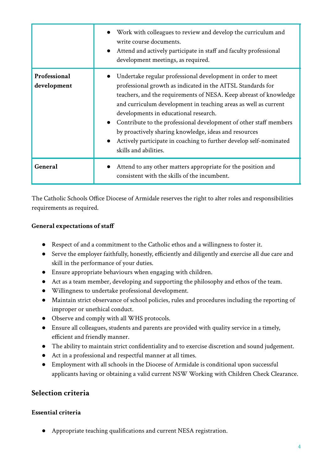|                             | Work with colleagues to review and develop the curriculum and<br>write course documents.<br>• Attend and actively participate in staff and faculty professional<br>development meetings, as required.                                                                                                                                                                                                                                                                                                                                                 |
|-----------------------------|-------------------------------------------------------------------------------------------------------------------------------------------------------------------------------------------------------------------------------------------------------------------------------------------------------------------------------------------------------------------------------------------------------------------------------------------------------------------------------------------------------------------------------------------------------|
| Professional<br>development | Undertake regular professional development in order to meet<br>professional growth as indicated in the AITSL Standards for<br>teachers, and the requirements of NESA. Keep abreast of knowledge<br>and curriculum development in teaching areas as well as current<br>developments in educational research.<br>Contribute to the professional development of other staff members<br>$\bullet$<br>by proactively sharing knowledge, ideas and resources<br>Actively participate in coaching to further develop self-nominated<br>skills and abilities. |
| General                     | Attend to any other matters appropriate for the position and<br>consistent with the skills of the incumbent.                                                                                                                                                                                                                                                                                                                                                                                                                                          |

The Catholic Schools Office Diocese of Armidale reserves the right to alter roles and responsibilities requirements as required.

#### **General expectations of staff**

- Respect of and a commitment to the Catholic ethos and a willingness to foster it.
- Serve the employer faithfully, honestly, efficiently and diligently and exercise all due care and skill in the performance of your duties.
- Ensure appropriate behaviours when engaging with children.
- Act as a team member, developing and supporting the philosophy and ethos of the team.
- Willingness to undertake professional development.
- Maintain strict observance of school policies, rules and procedures including the reporting of improper or unethical conduct.
- Observe and comply with all WHS protocols.
- Ensure all colleagues, students and parents are provided with quality service in a timely, efficient and friendly manner.
- The ability to maintain strict confidentiality and to exercise discretion and sound judgement.
- Act in a professional and respectful manner at all times.
- Employment with all schools in the Diocese of Armidale is conditional upon successful applicants having or obtaining a valid current NSW Working with Children Check Clearance.

#### **Selection criteria**

#### **Essential criteria**

● Appropriate teaching qualifications and current NESA registration.